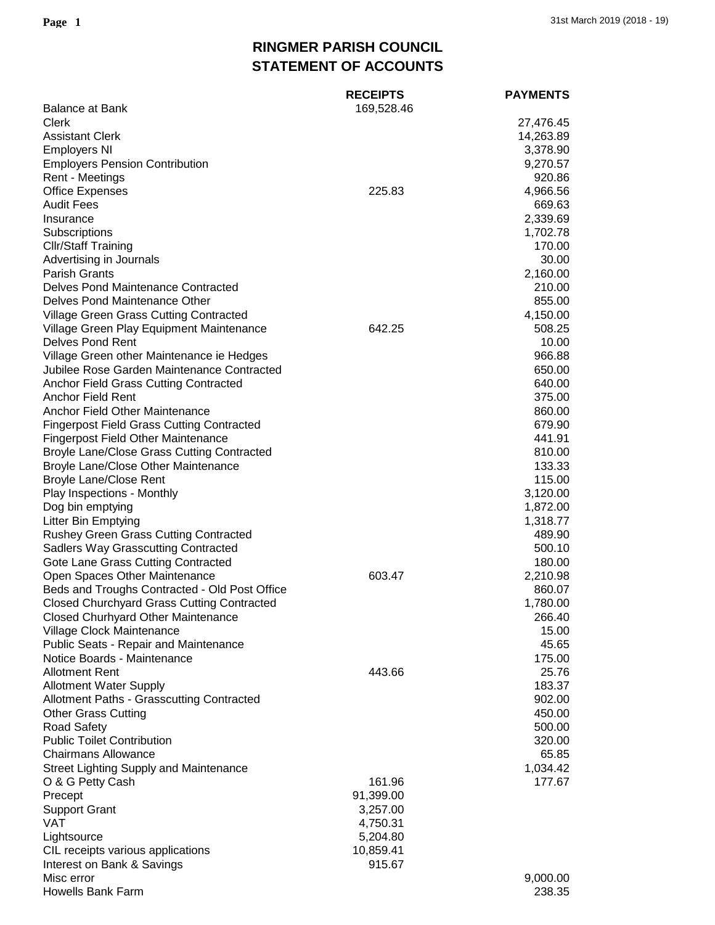## **RINGMER PARISH COUNCIL STATEMENT OF ACCOUNTS**

|                                                   | <b>RECEIPTS</b> | <b>PAYMENTS</b> |
|---------------------------------------------------|-----------------|-----------------|
| <b>Balance at Bank</b>                            | 169,528.46      |                 |
| Clerk                                             |                 | 27,476.45       |
| <b>Assistant Clerk</b>                            |                 | 14,263.89       |
| <b>Employers NI</b>                               |                 | 3,378.90        |
| <b>Employers Pension Contribution</b>             |                 | 9,270.57        |
| Rent - Meetings                                   |                 | 920.86          |
| <b>Office Expenses</b>                            | 225.83          | 4,966.56        |
| <b>Audit Fees</b>                                 |                 | 669.63          |
| Insurance                                         |                 | 2,339.69        |
| Subscriptions                                     |                 | 1,702.78        |
| <b>Cllr/Staff Training</b>                        |                 | 170.00          |
| Advertising in Journals                           |                 | 30.00           |
| <b>Parish Grants</b>                              |                 | 2,160.00        |
| Delves Pond Maintenance Contracted                |                 | 210.00          |
| Delves Pond Maintenance Other                     |                 | 855.00          |
| <b>Village Green Grass Cutting Contracted</b>     |                 | 4,150.00        |
| Village Green Play Equipment Maintenance          | 642.25          | 508.25          |
| Delves Pond Rent                                  |                 | 10.00           |
| Village Green other Maintenance ie Hedges         |                 | 966.88          |
| Jubilee Rose Garden Maintenance Contracted        |                 | 650.00          |
| Anchor Field Grass Cutting Contracted             |                 | 640.00          |
| <b>Anchor Field Rent</b>                          |                 | 375.00          |
| Anchor Field Other Maintenance                    |                 | 860.00          |
| <b>Fingerpost Field Grass Cutting Contracted</b>  |                 | 679.90          |
| <b>Fingerpost Field Other Maintenance</b>         |                 | 441.91          |
| <b>Broyle Lane/Close Grass Cutting Contracted</b> |                 | 810.00          |
| <b>Broyle Lane/Close Other Maintenance</b>        |                 | 133.33          |
| <b>Broyle Lane/Close Rent</b>                     |                 | 115.00          |
| Play Inspections - Monthly                        |                 | 3,120.00        |
| Dog bin emptying                                  |                 | 1,872.00        |
| Litter Bin Emptying                               |                 | 1,318.77        |
| <b>Rushey Green Grass Cutting Contracted</b>      |                 | 489.90          |
| <b>Sadlers Way Grasscutting Contracted</b>        |                 | 500.10          |
| Gote Lane Grass Cutting Contracted                |                 | 180.00          |
| Open Spaces Other Maintenance                     | 603.47          | 2,210.98        |
| Beds and Troughs Contracted - Old Post Office     |                 | 860.07          |
| <b>Closed Churchyard Grass Cutting Contracted</b> |                 | 1,780.00        |
| <b>Closed Churhyard Other Maintenance</b>         |                 | 266.40          |
| Village Clock Maintenance                         |                 | 15.00           |
| Public Seats - Repair and Maintenance             |                 | 45.65           |
| Notice Boards - Maintenance                       |                 | 175.00          |
| <b>Allotment Rent</b>                             | 443.66          | 25.76           |
| <b>Allotment Water Supply</b>                     |                 | 183.37          |
| Allotment Paths - Grasscutting Contracted         |                 | 902.00          |
| <b>Other Grass Cutting</b>                        |                 | 450.00          |
| <b>Road Safety</b>                                |                 | 500.00          |
| <b>Public Toilet Contribution</b>                 |                 | 320.00          |
| <b>Chairmans Allowance</b>                        |                 | 65.85           |
| <b>Street Lighting Supply and Maintenance</b>     |                 | 1,034.42        |
| O & G Petty Cash                                  | 161.96          | 177.67          |
| Precept                                           | 91,399.00       |                 |
| <b>Support Grant</b>                              | 3,257.00        |                 |
| VAT                                               | 4,750.31        |                 |
| Lightsource                                       | 5,204.80        |                 |
| CIL receipts various applications                 | 10,859.41       |                 |
| Interest on Bank & Savings                        | 915.67          |                 |
| Misc error                                        |                 | 9,000.00        |
| <b>Howells Bank Farm</b>                          |                 | 238.35          |